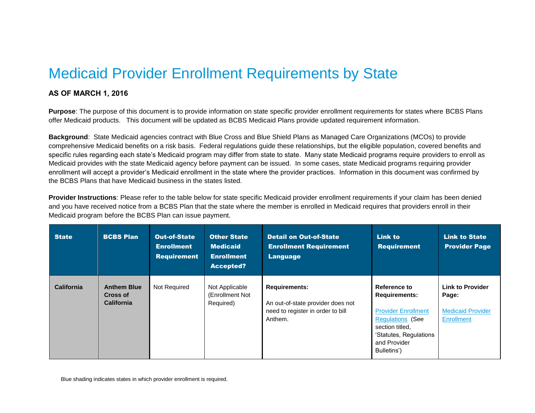## Medicaid Provider Enrollment Requirements by State

## **AS OF MARCH 1, 2016**

**Purpose**: The purpose of this document is to provide information on state specific provider enrollment requirements for states where BCBS Plans offer Medicaid products. This document will be updated as BCBS Medicaid Plans provide updated requirement information.

**Background**: State Medicaid agencies contract with Blue Cross and Blue Shield Plans as Managed Care Organizations (MCOs) to provide comprehensive Medicaid benefits on a risk basis. Federal regulations guide these relationships, but the eligible population, covered benefits and specific rules regarding each state's Medicaid program may differ from state to state. Many state Medicaid programs require providers to enroll as Medicaid provides with the state Medicaid agency before payment can be issued. In some cases, state Medicaid programs requiring provider enrollment will accept a provider's Medicaid enrollment in the state where the provider practices. Information in this document was confirmed by the BCBS Plans that have Medicaid business in the states listed.

**Provider Instructions**: Please refer to the table below for state specific Medicaid provider enrollment requirements if your claim has been denied and you have received notice from a BCBS Plan that the state where the member is enrolled in Medicaid requires that providers enroll in their Medicaid program before the BCBS Plan can issue payment.

| <b>State</b>      | <b>BCBS Plan</b>                                    | <b>Out-of-State</b><br><b>Enrollment</b><br><b>Requirement</b> | <b>Other State</b><br><b>Medicaid</b><br><b>Enrollment</b><br><b>Accepted?</b> | <b>Detail on Out-of-State</b><br><b>Enrollment Requirement</b><br><b>Language</b>                         | <b>Link to</b><br><b>Requirement</b>                                                                                                                                      | <b>Link to State</b><br><b>Provider Page</b>                                      |
|-------------------|-----------------------------------------------------|----------------------------------------------------------------|--------------------------------------------------------------------------------|-----------------------------------------------------------------------------------------------------------|---------------------------------------------------------------------------------------------------------------------------------------------------------------------------|-----------------------------------------------------------------------------------|
| <b>California</b> | <b>Anthem Blue</b><br>Cross of<br><b>California</b> | Not Required                                                   | Not Applicable<br>(Enrollment Not<br>Required)                                 | <b>Requirements:</b><br>An out-of-state provider does not<br>need to register in order to bill<br>Anthem. | Reference to<br><b>Requirements:</b><br><b>Provider Enrollment</b><br><b>Regulations (See</b><br>section titled.<br>'Statutes, Regulations<br>and Provider<br>Bulletins') | <b>Link to Provider</b><br>Page:<br><b>Medicaid Provider</b><br><b>Enrollment</b> |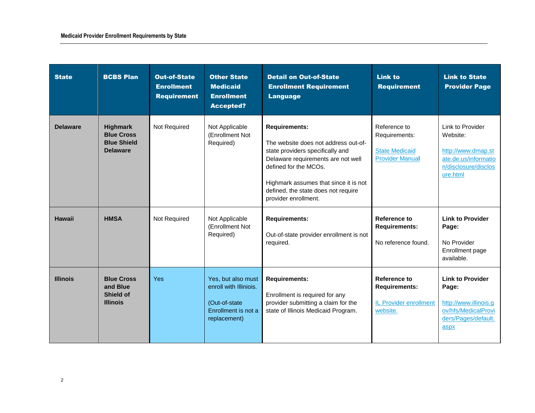| <b>State</b>    | <b>BCBS Plan</b>                                                              | <b>Out-of-State</b><br><b>Enrollment</b><br><b>Requirement</b> | <b>Other State</b><br><b>Medicaid</b><br><b>Enrollment</b><br><b>Accepted?</b>                        | <b>Detail on Out-of-State</b><br><b>Enrollment Requirement</b><br><b>Language</b>                                                                                                                                                                                       | <b>Link to</b><br><b>Requirement</b>                                              | <b>Link to State</b><br><b>Provider Page</b>                                                                    |
|-----------------|-------------------------------------------------------------------------------|----------------------------------------------------------------|-------------------------------------------------------------------------------------------------------|-------------------------------------------------------------------------------------------------------------------------------------------------------------------------------------------------------------------------------------------------------------------------|-----------------------------------------------------------------------------------|-----------------------------------------------------------------------------------------------------------------|
| <b>Delaware</b> | <b>Highmark</b><br><b>Blue Cross</b><br><b>Blue Shield</b><br><b>Delaware</b> | Not Required                                                   | Not Applicable<br>(Enrollment Not<br>Required)                                                        | <b>Requirements:</b><br>The website does not address out-of-<br>state providers specifically and<br>Delaware requirements are not well<br>defined for the MCOs.<br>Highmark assumes that since it is not<br>defined, the state does not require<br>provider enrollment. | Reference to<br>Requirements:<br><b>State Medicaid</b><br><b>Provider Manual</b>  | Link to Provider<br>Website:<br>http://www.dmap.st<br>ate.de.us/informatio<br>n/disclosure/disclos<br>ure.html  |
| <b>Hawaii</b>   | <b>HMSA</b>                                                                   | Not Required                                                   | Not Applicable<br>(Enrollment Not)<br>Required)                                                       | <b>Requirements:</b><br>Out-of-state provider enrollment is not<br>required.                                                                                                                                                                                            | Reference to<br><b>Requirements:</b><br>No reference found.                       | <b>Link to Provider</b><br>Page:<br>No Provider<br>Enrollment page<br>available.                                |
| <b>Illinois</b> | <b>Blue Cross</b><br>and Blue<br><b>Shield of</b><br><b>Illinois</b>          | <b>Yes</b>                                                     | Yes, but also must<br>enroll with Illiniois.<br>(Out-of-state)<br>Enrollment is not a<br>replacement) | <b>Requirements:</b><br>Enrollment is required for any<br>provider submitting a claim for the<br>state of Illinois Medicaid Program.                                                                                                                                    | Reference to<br><b>Requirements:</b><br><b>IL Provider enrollment</b><br>website. | <b>Link to Provider</b><br>Page:<br>http://www.illinois.g<br>ov/hfs/MedicalProvi<br>ders/Pages/default.<br>aspx |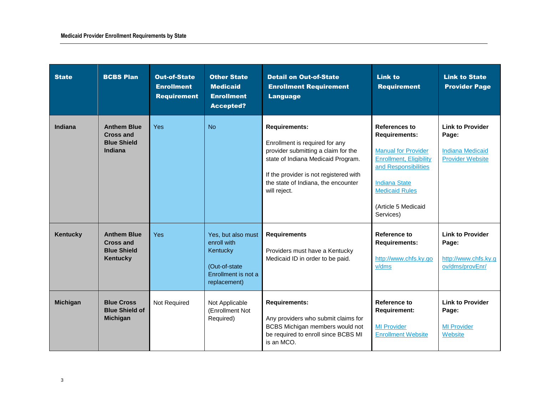| <b>State</b>    | <b>BCBS Plan</b>                                                                | <b>Out-of-State</b><br><b>Enrollment</b><br><b>Requirement</b> | <b>Other State</b><br><b>Medicaid</b><br><b>Enrollment</b><br><b>Accepted?</b>                         | <b>Detail on Out-of-State</b><br><b>Enrollment Requirement</b><br><b>Language</b>                                                                                                                                                    | <b>Link to</b><br><b>Requirement</b>                                                                                                                                                                               | <b>Link to State</b><br><b>Provider Page</b>                                           |
|-----------------|---------------------------------------------------------------------------------|----------------------------------------------------------------|--------------------------------------------------------------------------------------------------------|--------------------------------------------------------------------------------------------------------------------------------------------------------------------------------------------------------------------------------------|--------------------------------------------------------------------------------------------------------------------------------------------------------------------------------------------------------------------|----------------------------------------------------------------------------------------|
| Indiana         | <b>Anthem Blue</b><br><b>Cross and</b><br><b>Blue Shield</b><br><b>Indiana</b>  | <b>Yes</b>                                                     | <b>No</b>                                                                                              | <b>Requirements:</b><br>Enrollment is required for any<br>provider submitting a claim for the<br>state of Indiana Medicaid Program.<br>If the provider is not registered with<br>the state of Indiana, the encounter<br>will reject. | <b>References to</b><br><b>Requirements:</b><br><b>Manual for Provider</b><br>Enrollment, Eligibility<br>and Responsibilities<br><b>Indiana State</b><br><b>Medicaid Rules</b><br>(Article 5 Medicaid<br>Services) | <b>Link to Provider</b><br>Page:<br><b>Indiana Medicaid</b><br><b>Provider Website</b> |
| Kentucky        | <b>Anthem Blue</b><br><b>Cross and</b><br><b>Blue Shield</b><br><b>Kentucky</b> | <b>Yes</b>                                                     | Yes, but also must<br>enroll with<br>Kentucky<br>(Out-of-state)<br>Enrollment is not a<br>replacement) | <b>Requirements</b><br>Providers must have a Kentucky<br>Medicaid ID in order to be paid.                                                                                                                                            | Reference to<br><b>Requirements:</b><br>http://www.chfs.ky.go<br>v/dms                                                                                                                                             | <b>Link to Provider</b><br>Page:<br>http://www.chfs.ky.g<br>ov/dms/provEnr/            |
| <b>Michigan</b> | <b>Blue Cross</b><br><b>Blue Shield of</b><br><b>Michigan</b>                   | Not Required                                                   | Not Applicable<br>(Enrollment Not<br>Required)                                                         | <b>Requirements:</b><br>Any providers who submit claims for<br>BCBS Michigan members would not<br>be required to enroll since BCBS MI<br>is an MCO.                                                                                  | Reference to<br><b>Requirement:</b><br><b>MI Provider</b><br><b>Enrollment Website</b>                                                                                                                             | <b>Link to Provider</b><br>Page:<br><b>MI Provider</b><br>Website                      |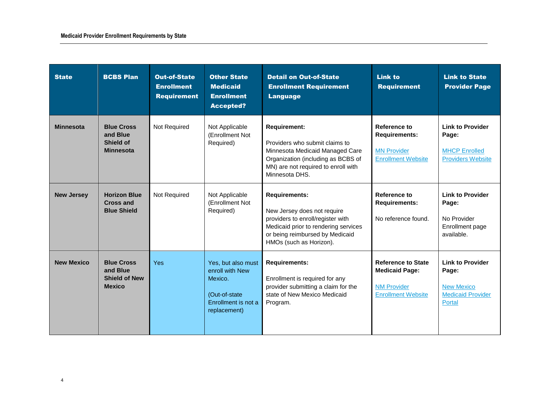| <b>State</b>      | <b>BCBS Plan</b>                                                       | <b>Out-of-State</b><br><b>Enrollment</b><br><b>Requirement</b> | <b>Other State</b><br><b>Medicaid</b><br><b>Enrollment</b><br><b>Accepted?</b>                            | <b>Detail on Out-of-State</b><br><b>Enrollment Requirement</b><br><b>Language</b>                                                                                                              | <b>Link to</b><br><b>Requirement</b>                                                                  | <b>Link to State</b><br><b>Provider Page</b>                                                |
|-------------------|------------------------------------------------------------------------|----------------------------------------------------------------|-----------------------------------------------------------------------------------------------------------|------------------------------------------------------------------------------------------------------------------------------------------------------------------------------------------------|-------------------------------------------------------------------------------------------------------|---------------------------------------------------------------------------------------------|
| <b>Minnesota</b>  | <b>Blue Cross</b><br>and Blue<br><b>Shield of</b><br><b>Minnesota</b>  | Not Required                                                   | Not Applicable<br>(Enrollment Not<br>Required)                                                            | <b>Requirement:</b><br>Providers who submit claims to<br>Minnesota Medicaid Managed Care<br>Organization (including as BCBS of<br>MN) are not required to enroll with<br>Minnesota DHS.        | Reference to<br><b>Requirements:</b><br><b>MN Provider</b><br><b>Enrollment Website</b>               | <b>Link to Provider</b><br>Page:<br><b>MHCP Enrolled</b><br><b>Providers Website</b>        |
| <b>New Jersey</b> | <b>Horizon Blue</b><br><b>Cross and</b><br><b>Blue Shield</b>          | Not Required                                                   | Not Applicable<br>(Enrollment Not<br>Required)                                                            | <b>Requirements:</b><br>New Jersey does not require<br>providers to enroll/register with<br>Medicaid prior to rendering services<br>or being reimbursed by Medicaid<br>HMOs (such as Horizon). | <b>Reference to</b><br><b>Requirements:</b><br>No reference found.                                    | <b>Link to Provider</b><br>Page:<br>No Provider<br>Enrollment page<br>available.            |
| <b>New Mexico</b> | <b>Blue Cross</b><br>and Blue<br><b>Shield of New</b><br><b>Mexico</b> | <b>Yes</b>                                                     | Yes, but also must<br>enroll with New<br>Mexico.<br>(Out-of-state)<br>Enrollment is not a<br>replacement) | <b>Requirements:</b><br>Enrollment is required for any<br>provider submitting a claim for the<br>state of New Mexico Medicaid<br>Program.                                                      | <b>Reference to State</b><br><b>Medicaid Page:</b><br><b>NM Provider</b><br><b>Enrollment Website</b> | <b>Link to Provider</b><br>Page:<br><b>New Mexico</b><br><b>Medicaid Provider</b><br>Portal |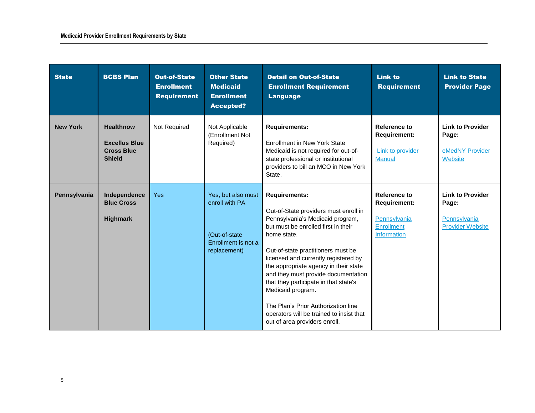| <b>State</b>    | <b>BCBS Plan</b>                                                               | <b>Out-of-State</b><br><b>Enrollment</b><br><b>Requirement</b> | <b>Other State</b><br><b>Medicaid</b><br><b>Enrollment</b><br>Accepted?                       | <b>Detail on Out-of-State</b><br><b>Enrollment Requirement</b><br><b>Language</b>                                                                                                                                                                                                                                                                                                                                                                                                                       | <b>Link to</b><br><b>Requirement</b>                                                           | <b>Link to State</b><br><b>Provider Page</b>                                |
|-----------------|--------------------------------------------------------------------------------|----------------------------------------------------------------|-----------------------------------------------------------------------------------------------|---------------------------------------------------------------------------------------------------------------------------------------------------------------------------------------------------------------------------------------------------------------------------------------------------------------------------------------------------------------------------------------------------------------------------------------------------------------------------------------------------------|------------------------------------------------------------------------------------------------|-----------------------------------------------------------------------------|
| <b>New York</b> | <b>Healthnow</b><br><b>Excellus Blue</b><br><b>Cross Blue</b><br><b>Shield</b> | Not Required                                                   | Not Applicable<br>(Enrollment Not<br>Required)                                                | <b>Requirements:</b><br><b>Enrollment in New York State</b><br>Medicaid is not required for out-of-<br>state professional or institutional<br>providers to bill an MCO in New York<br>State.                                                                                                                                                                                                                                                                                                            | Reference to<br><b>Requirement:</b><br>Link to provider<br><b>Manual</b>                       | <b>Link to Provider</b><br>Page:<br>eMedNY Provider<br>Website              |
| Pennsylvania    | Independence<br><b>Blue Cross</b><br><b>Highmark</b>                           | Yes                                                            | Yes, but also must<br>enroll with PA<br>(Out-of-state)<br>Enrollment is not a<br>replacement) | <b>Requirements:</b><br>Out-of-State providers must enroll in<br>Pennsylvania's Medicaid program,<br>but must be enrolled first in their<br>home state.<br>Out-of-state practitioners must be<br>licensed and currently registered by<br>the appropriate agency in their state<br>and they must provide documentation<br>that they participate in that state's<br>Medicaid program.<br>The Plan's Prior Authorization line<br>operators will be trained to insist that<br>out of area providers enroll. | Reference to<br><b>Requirement:</b><br>Pennsylvania<br><b>Enrollment</b><br><b>Information</b> | <b>Link to Provider</b><br>Page:<br>Pennsylvania<br><b>Provider Website</b> |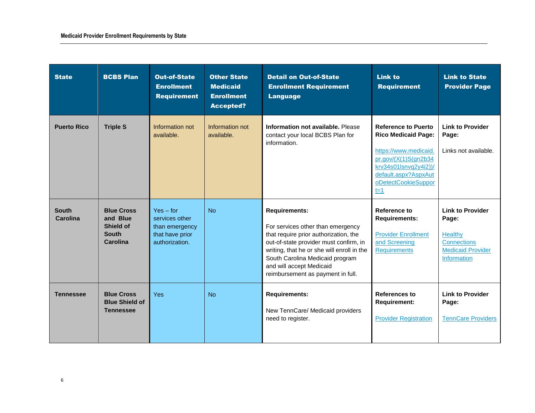| <b>State</b>             | <b>BCBS Plan</b>                                                              | <b>Out-of-State</b><br><b>Enrollment</b><br><b>Requirement</b>                       | <b>Other State</b><br><b>Medicaid</b><br><b>Enrollment</b><br><b>Accepted?</b> | <b>Detail on Out-of-State</b><br><b>Enrollment Requirement</b><br><b>Language</b>                                                                                                                                                                                                              | <b>Link to</b><br><b>Requirement</b>                                                                                                                                                         | <b>Link to State</b><br><b>Provider Page</b>                                                                               |
|--------------------------|-------------------------------------------------------------------------------|--------------------------------------------------------------------------------------|--------------------------------------------------------------------------------|------------------------------------------------------------------------------------------------------------------------------------------------------------------------------------------------------------------------------------------------------------------------------------------------|----------------------------------------------------------------------------------------------------------------------------------------------------------------------------------------------|----------------------------------------------------------------------------------------------------------------------------|
| <b>Puerto Rico</b>       | <b>Triple S</b>                                                               | Information not<br>available.                                                        | Information not<br>available.                                                  | Information not available. Please<br>contact your local BCBS Plan for<br>information.                                                                                                                                                                                                          | <b>Reference to Puerto</b><br><b>Rico Medicaid Page:</b><br>https://www.medicaid.<br>pr.gov/(X(1)S(gn2b34))<br>krv34s01lsnvq2y4i2))/<br>default.aspx?AspxAut<br>oDetectCookieSuppor<br>$t=1$ | <b>Link to Provider</b><br>Page:<br>Links not available.                                                                   |
| <b>South</b><br>Carolina | <b>Blue Cross</b><br>and Blue<br><b>Shield of</b><br><b>South</b><br>Carolina | $Yes - for$<br>services other<br>than emergency<br>that have prior<br>authorization. | <b>No</b>                                                                      | <b>Requirements:</b><br>For services other than emergency<br>that require prior authorization, the<br>out-of-state provider must confirm, in<br>writing, that he or she will enroll in the<br>South Carolina Medicaid program<br>and will accept Medicaid<br>reimbursement as payment in full. | <b>Reference to</b><br><b>Requirements:</b><br><b>Provider Enrollment</b><br>and Screening<br><b>Requirements</b>                                                                            | <b>Link to Provider</b><br>Page:<br><b>Healthy</b><br><b>Connections</b><br><b>Medicaid Provider</b><br><b>Information</b> |
| Tennessee                | <b>Blue Cross</b><br><b>Blue Shield of</b><br><b>Tennessee</b>                | <b>Yes</b>                                                                           | No                                                                             | <b>Requirements:</b><br>New TennCare/ Medicaid providers<br>need to register.                                                                                                                                                                                                                  | <b>References to</b><br><b>Requirement:</b><br><b>Provider Registration</b>                                                                                                                  | <b>Link to Provider</b><br>Page:<br><b>TennCare Providers</b>                                                              |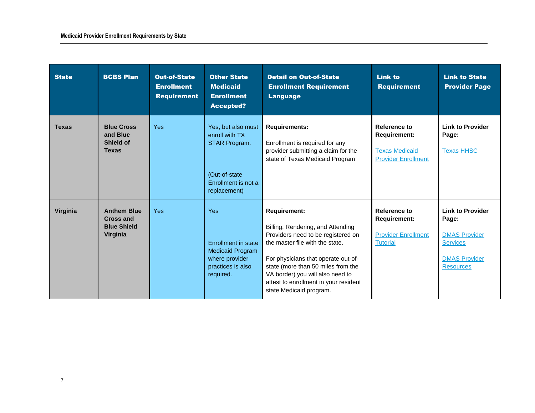| <b>State</b> | <b>BCBS Plan</b>                                                         | <b>Out-of-State</b><br><b>Enrollment</b><br><b>Requirement</b> | <b>Other State</b><br><b>Medicaid</b><br><b>Enrollment</b><br><b>Accepted?</b>                                   | <b>Detail on Out-of-State</b><br><b>Enrollment Requirement</b><br><b>Language</b>                                                                                                                                                                                                                                      | <b>Link to</b><br><b>Requirement</b>                                                              | <b>Link to State</b><br><b>Provider Page</b>                                                                            |
|--------------|--------------------------------------------------------------------------|----------------------------------------------------------------|------------------------------------------------------------------------------------------------------------------|------------------------------------------------------------------------------------------------------------------------------------------------------------------------------------------------------------------------------------------------------------------------------------------------------------------------|---------------------------------------------------------------------------------------------------|-------------------------------------------------------------------------------------------------------------------------|
| <b>Texas</b> | <b>Blue Cross</b><br>and Blue<br><b>Shield of</b><br><b>Texas</b>        | <b>Yes</b>                                                     | Yes, but also must<br>enroll with TX<br>STAR Program.<br>(Out-of-state)<br>Enrollment is not a<br>replacement)   | <b>Requirements:</b><br>Enrollment is required for any<br>provider submitting a claim for the<br>state of Texas Medicaid Program                                                                                                                                                                                       | <b>Reference to</b><br><b>Requirement:</b><br><b>Texas Medicaid</b><br><b>Provider Enrollment</b> | <b>Link to Provider</b><br>Page:<br><b>Texas HHSC</b>                                                                   |
| Virginia     | <b>Anthem Blue</b><br><b>Cross and</b><br><b>Blue Shield</b><br>Virginia | <b>Yes</b>                                                     | <b>Yes</b><br>Enrollment in state<br><b>Medicaid Program</b><br>where provider<br>practices is also<br>required. | <b>Requirement:</b><br>Billing, Rendering, and Attending<br>Providers need to be registered on<br>the master file with the state.<br>For physicians that operate out-of-<br>state (more than 50 miles from the<br>VA border) you will also need to<br>attest to enrollment in your resident<br>state Medicaid program. | <b>Reference to</b><br><b>Requirement:</b><br><b>Provider Enrollment</b><br><b>Tutorial</b>       | <b>Link to Provider</b><br>Page:<br><b>DMAS Provider</b><br><b>Services</b><br><b>DMAS Provider</b><br><b>Resources</b> |